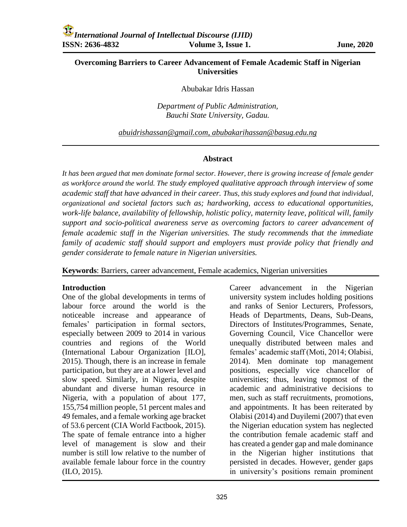# **Overcoming Barriers to Career Advancement of Female Academic Staff in Nigerian Universities**

#### Abubakar Idris Hassan

*Department of Public Administration, Bauchi State University, Gadau.*

*[abuidrishassan@gmail.com,](mailto:abuidrishassan@gmail.com) [abubakarihassan@basug.edu.ng](mailto:abubakarihassan@basug.edu.ng)*

#### **Abstract**

*It has been argued that men dominate formal sector. However, there is growing increase of female gender as workforce around the world. The study employed qualitative approach through interview of some academic staff that have advanced in their career. Thus, this study explores and found that individual, organizational and societal factors such as; hardworking, access to educational opportunities, work-life balance, availability of fellowship, holistic policy, maternity leave, political will, family support and socio-political awareness serve as overcoming factors to career advancement of female academic staff in the Nigerian universities. The study recommends that the immediate family of academic staff should support and employers must provide policy that friendly and gender considerate to female nature in Nigerian universities.* 

**Keywords**: Barriers, career advancement, Female academics, Nigerian universities

### **Introduction**

One of the global developments in terms of labour force around the world is the noticeable increase and appearance of females' participation in formal sectors, especially between 2009 to 2014 in various countries and regions of the World (International Labour Organization [ILO], 2015). Though, there is an increase in female participation, but they are at a lower level and slow speed. Similarly, in Nigeria, despite abundant and diverse human resource in Nigeria, with a population of about 177, 155,754 million people, 51 percent males and 49 females, and a female working age bracket of 53.6 percent (CIA World Factbook, 2015). The spate of female entrance into a higher level of management is slow and their number is still low relative to the number of available female labour force in the country (ILO, 2015).

Career advancement in the Nigerian university system includes holding positions and ranks of Senior Lecturers, Professors, Heads of Departments, Deans, Sub-Deans, Directors of Institutes/Programmes, Senate, Governing Council, Vice Chancellor were unequally distributed between males and females' academic staff (Moti, 2014; Olabisi, 2014). Men dominate top management positions, especially vice chancellor of universities; thus, leaving topmost of the academic and administrative decisions to men, such as staff recruitments, promotions, and appointments. It has been reiterated by Olabisi (2014) and Duyilemi (2007) that even the Nigerian education system has neglected the contribution female academic staff and has created a gender gap and male dominance in the Nigerian higher institutions that persisted in decades. However, gender gaps in university's positions remain prominent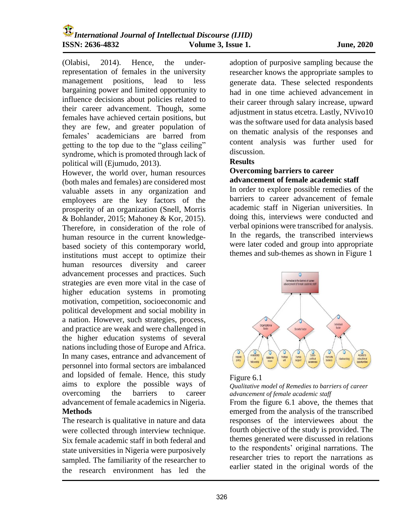(Olabisi, 2014). Hence, the underrepresentation of females in the university management positions, lead to less bargaining power and limited opportunity to influence decisions about policies related to their career advancement. Though, some females have achieved certain positions, but they are few, and greater population of females' academicians are barred from getting to the top due to the "glass ceiling" syndrome, which is promoted through lack of political will (Ejumudo, 2013).

However, the world over, human resources (both males and females) are considered most valuable assets in any organization and employees are the key factors of the prosperity of an organization (Snell, Morris & Bohlander, 2015; Mahoney & Kor, 2015). Therefore, in consideration of the role of human resource in the current knowledgebased society of this contemporary world, institutions must accept to optimize their human resources diversity and career advancement processes and practices. Such strategies are even more vital in the case of higher education systems in promoting motivation, competition, socioeconomic and political development and social mobility in a nation. However, such strategies, process, and practice are weak and were challenged in the higher education systems of several nations including those of Europe and Africa. In many cases, entrance and advancement of personnel into formal sectors are imbalanced and lopsided of female. Hence, this study aims to explore the possible ways of overcoming the barriers to career advancement of female academics in Nigeria. **Methods**

The research is qualitative in nature and data were collected through interview technique. Six female academic staff in both federal and state universities in Nigeria were purposively sampled. The familiarity of the researcher to the research environment has led the

adoption of purposive sampling because the researcher knows the appropriate samples to generate data. These selected respondents had in one time achieved advancement in their career through salary increase, upward adjustment in status etcetra. Lastly, NVivo10 was the software used for data analysis based on thematic analysis of the responses and content analysis was further used for discussion.

### **Results**

### **Overcoming barriers to career advancement of female academic staff**

In order to explore possible remedies of the barriers to career advancement of female academic staff in Nigerian universities. In doing this, interviews were conducted and verbal opinions were transcribed for analysis. In the regards, the transcribed interviews were later coded and group into appropriate themes and sub-themes as shown in Figure 1



### Figure 6.1

#### *Qualitative model of Remedies to barriers of career advancement of female academic staff*

From the figure 6.1 above, the themes that emerged from the analysis of the transcribed responses of the interviewees about the fourth objective of the study is provided. The themes generated were discussed in relations to the respondents' original narrations. The researcher tries to report the narrations as earlier stated in the original words of the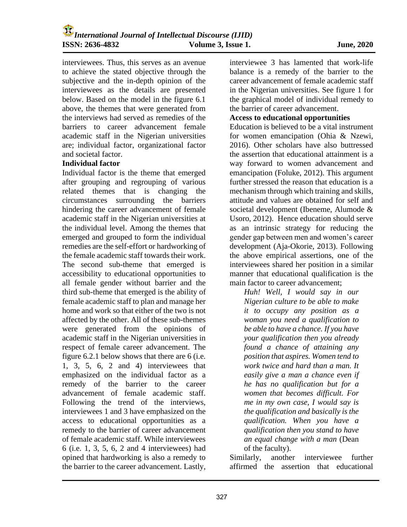interviewees. Thus, this serves as an avenue to achieve the stated objective through the subjective and the in-depth opinion of the interviewees as the details are presented below. Based on the model in the figure 6.1 above, the themes that were generated from the interviews had served as remedies of the barriers to career advancement female academic staff in the Nigerian universities are; individual factor, organizational factor and societal factor.

### **Individual factor**

Individual factor is the theme that emerged after grouping and regrouping of various related themes that is changing the circumstances surrounding the barriers hindering the career advancement of female academic staff in the Nigerian universities at the individual level. Among the themes that emerged and grouped to form the individual remedies are the self-effort or hardworking of the female academic staff towards their work. The second sub-theme that emerged is accessibility to educational opportunities to all female gender without barrier and the third sub-theme that emerged is the ability of female academic staff to plan and manage her home and work so that either of the two is not affected by the other. All of these sub-themes were generated from the opinions of academic staff in the Nigerian universities in respect of female career advancement. The figure 6.2.1 below shows that there are 6 (i.e. 1, 3, 5, 6, 2 and 4) interviewees that emphasized on the individual factor as a remedy of the barrier to the career advancement of female academic staff. Following the trend of the interviews, interviewees 1 and 3 have emphasized on the access to educational opportunities as a remedy to the barrier of career advancement of female academic staff. While interviewees 6 (i.e. 1, 3, 5, 6, 2 and 4 interviewees) had opined that hardworking is also a remedy to the barrier to the career advancement. Lastly,

interviewee 3 has lamented that work-life balance is a remedy of the barrier to the career advancement of female academic staff in the Nigerian universities. See figure 1 for the graphical model of individual remedy to the barrier of career advancement.

#### **Access to educational opportunities**

Education is believed to be a vital instrument for women emancipation (Ohia & Nzewi, 2016). Other scholars have also buttressed the assertion that educational attainment is a way forward to women advancement and emancipation (Foluke, 2012). This argument further stressed the reason that education is a mechanism through which training and skills, attitude and values are obtained for self and societal development (Ibeneme, Alumode & Usoro, 2012). Hence education should serve as an intrinsic strategy for reducing the gender gap between men and women's career development (Aja-Okorie, 2013). Following the above empirical assertions, one of the interviewees shared her position in a similar manner that educational qualification is the main factor to career advancement;

*Huh! Well, I would say in our Nigerian culture to be able to make it to occupy any position as a woman you need a qualification to be able to have a chance. If you have your qualification then you already found a chance of attaining any position that aspires. Women tend to work twice and hard than a man. It easily give a man a chance even if he has no qualification but for a women that becomes difficult. For me in my own case, I would say is the qualification and basically is the qualification. When you have a qualification then you stand to have an equal change with a man* (Dean of the faculty).

Similarly, another interviewee further affirmed the assertion that educational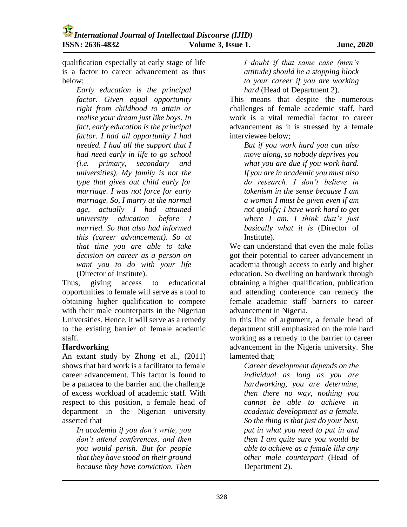qualification especially at early stage of life is a factor to career advancement as thus below;

*Early education is the principal factor. Given equal opportunity right from childhood to attain or realise your dream just like boys. In fact, early education is the principal factor. I had all opportunity I had needed. I had all the support that I had need early in life to go school (i.e. primary, secondary and universities). My family is not the type that gives out child early for marriage. I was not force for early marriage. So, I marry at the normal age, actually I had attained university education before I married. So that also had informed this (career advancement). So at that time you are able to take decision on career as a person on want you to do with your life* (Director of Institute).

Thus, giving access to educational opportunities to female will serve as a tool to obtaining higher qualification to compete with their male counterparts in the Nigerian Universities. Hence, it will serve as a remedy to the existing barrier of female academic staff.

### **Hardworking**

An extant study by Zhong et al., (2011) shows that hard work is a facilitator to female career advancement. This factor is found to be a panacea to the barrier and the challenge of excess workload of academic staff. With respect to this position, a female head of department in the Nigerian university asserted that

*In academia if you don't write, you don't attend conferences, and then you would perish. But for people that they have stood on their ground because they have conviction. Then* 

*I doubt if that same case (men's attitude) should be a stopping block to your career if you are working hard* (Head of Department 2).

This means that despite the numerous challenges of female academic staff, hard work is a vital remedial factor to career advancement as it is stressed by a female interviewee below;

*But if you work hard you can also move along, so nobody deprives you what you are due if you work hard. If you are in academic you must also do research. I don't believe in tokenism in the sense because I am a women I must be given even if am not qualify; I have work hard to get where I am. I think that's just basically what it is* (Director of Institute).

We can understand that even the male folks got their potential to career advancement in academia through access to early and higher education. So dwelling on hardwork through obtaining a higher qualification, publication and attending conference can remedy the female academic staff barriers to career advancement in Nigeria.

In this line of argument, a female head of department still emphasized on the role hard working as a remedy to the barrier to career advancement in the Nigeria university. She lamented that;

*Career development depends on the individual as long as you are hardworking, you are determine, then there no way, nothing you cannot be able to achieve in academic development as a female. So the thing is that just do your best, put in what you need to put in and then I am quite sure you would be able to achieve as a female like any other male counterpart* (Head of Department 2).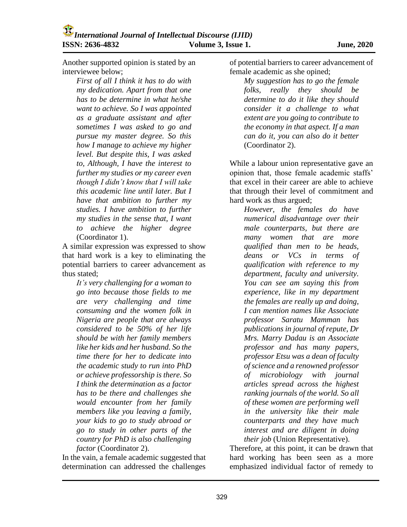Another supported opinion is stated by an interviewee below;

*First of all I think it has to do with my dedication. Apart from that one has to be determine in what he/she want to achieve. So I was appointed as a graduate assistant and after sometimes I was asked to go and pursue my master degree. So this how I manage to achieve my higher level. But despite this, I was asked to, Although, I have the interest to further my studies or my career even though I didn't know that I will take this academic line until later. But I have that ambition to further my studies. I have ambition to further my studies in the sense that, I want to achieve the higher degree* (Coordinator 1).

A similar expression was expressed to show that hard work is a key to eliminating the potential barriers to career advancement as thus stated;

*It's very challenging for a woman to go into because those fields to me are very challenging and time consuming and the women folk in Nigeria are people that are always considered to be 50% of her life should be with her family members like her kids and her husband. So the time there for her to dedicate into the academic study to run into PhD or achieve professorship is there. So I think the determination as a factor has to be there and challenges she would encounter from her family members like you leaving a family, your kids to go to study abroad or go to study in other parts of the country for PhD is also challenging factor* (Coordinator 2).

In the vain, a female academic suggested that determination can addressed the challenges

of potential barriers to career advancement of female academic as she opined;

*My suggestion has to go the female folks, really they should be determine to do it like they should consider it a challenge to what extent are you going to contribute to the economy in that aspect. If a man can do it, you can also do it better* (Coordinator 2).

While a labour union representative gave an opinion that, those female academic staffs' that excel in their career are able to achieve that through their level of commitment and hard work as thus argued;

*However, the females do have numerical disadvantage over their male counterparts, but there are many women that are more qualified than men to be heads, deans or VCs in terms of qualification with reference to my department, faculty and university. You can see am saying this from experience, like in my department the females are really up and doing, I can mention names like Associate professor Saratu Mamman has publications in journal of repute, Dr Mrs. Marry Dadau is an Associate professor and has many papers, professor Etsu was a dean of faculty of science and a renowned professor of microbiology with journal articles spread across the highest ranking journals of the world. So all of these women are performing well in the university like their male counterparts and they have much interest and are diligent in doing their job* (Union Representative).

Therefore, at this point, it can be drawn that hard working has been seen as a more emphasized individual factor of remedy to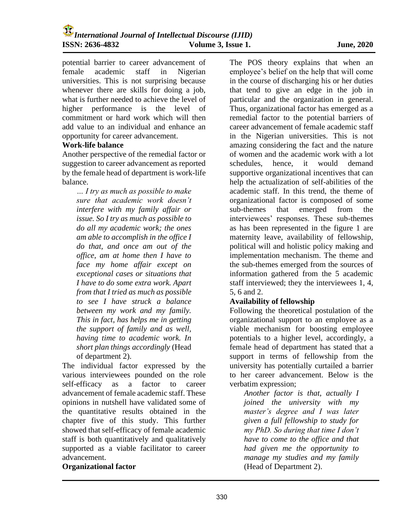potential barrier to career advancement of female academic staff in Nigerian universities. This is not surprising because whenever there are skills for doing a job, what is further needed to achieve the level of higher performance is the level of commitment or hard work which will then add value to an individual and enhance an opportunity for career advancement.

### **Work-life balance**

Another perspective of the remedial factor or suggestion to career advancement as reported by the female head of department is work-life balance.

*… I try as much as possible to make sure that academic work doesn't interfere with my family affair or issue. So I try as much as possible to do all my academic work; the ones am able to accomplish in the office I do that, and once am out of the office, am at home then I have to face my home affair except on exceptional cases or situations that I have to do some extra work. Apart from that I tried as much as possible to see I have struck a balance between my work and my family. This in fact, has helps me in getting the support of family and as well, having time to academic work. In short plan things accordingly* (Head of department 2).

The individual factor expressed by the various interviewees pounded on the role self-efficacy as a factor to career advancement of female academic staff. These opinions in nutshell have validated some of the quantitative results obtained in the chapter five of this study. This further showed that self-efficacy of female academic staff is both quantitatively and qualitatively supported as a viable facilitator to career advancement.

### **Organizational factor**

The POS theory explains that when an employee's belief on the help that will come in the course of discharging his or her duties that tend to give an edge in the job in particular and the organization in general. Thus, organizational factor has emerged as a remedial factor to the potential barriers of career advancement of female academic staff in the Nigerian universities. This is not amazing considering the fact and the nature of women and the academic work with a lot schedules, hence, it would demand supportive organizational incentives that can help the actualization of self-abilities of the academic staff. In this trend, the theme of organizational factor is composed of some sub-themes that emerged from the interviewees' responses. These sub-themes as has been represented in the figure 1 are maternity leave, availability of fellowship, political will and holistic policy making and implementation mechanism. The theme and the sub-themes emerged from the sources of information gathered from the 5 academic staff interviewed; they the interviewees 1, 4, 5, 6 and 2.

# **Availability of fellowship**

Following the theoretical postulation of the organizational support to an employee as a viable mechanism for boosting employee potentials to a higher level, accordingly, a female head of department has stated that a support in terms of fellowship from the university has potentially curtailed a barrier to her career advancement. Below is the verbatim expression;

*Another factor is that, actually I joined the university with my master's degree and I was later given a full fellowship to study for my PhD. So during that time I don't have to come to the office and that had given me the opportunity to manage my studies and my family* (Head of Department 2).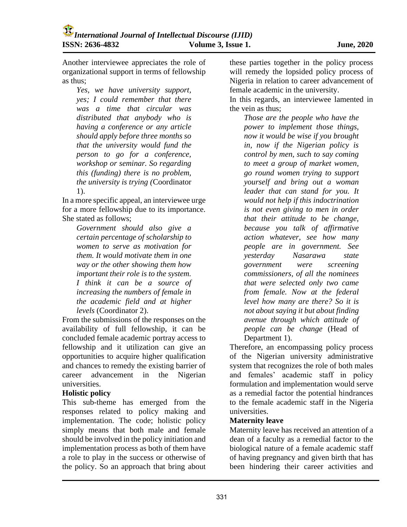Another interviewee appreciates the role of organizational support in terms of fellowship as thus;

*Yes, we have university support, yes; I could remember that there was a time that circular was distributed that anybody who is having a conference or any article should apply before three months so that the university would fund the person to go for a conference, workshop or seminar. So regarding this (funding) there is no problem, the university is trying (*Coordinator 1).

In a more specific appeal, an interviewee urge for a more fellowship due to its importance. She stated as follows;

*Government should also give a certain percentage of scholarship to women to serve as motivation for them. It would motivate them in one way or the other showing them how important their role is to the system. I think it can be a source of increasing the numbers of female in the academic field and at higher levels* (Coordinator 2).

From the submissions of the responses on the availability of full fellowship, it can be concluded female academic portray access to fellowship and it utilization can give an opportunities to acquire higher qualification and chances to remedy the existing barrier of career advancement in the Nigerian universities.

### **Holistic policy**

This sub-theme has emerged from the responses related to policy making and implementation. The code; holistic policy simply means that both male and female should be involved in the policy initiation and implementation process as both of them have a role to play in the success or otherwise of the policy. So an approach that bring about

these parties together in the policy process will remedy the lopsided policy process of Nigeria in relation to career advancement of female academic in the university.

In this regards, an interviewee lamented in the vein as thus;

*Those are the people who have the power to implement those things, now it would be wise if you brought in, now if the Nigerian policy is control by men, such to say coming to meet a group of market women, go round women trying to support yourself and bring out a woman leader that can stand for you. It would not help if this indoctrination is not even giving to men in order that their attitude to be change, because you talk of affirmative action whatever, see how many people are in government. See yesterday Nasarawa state government were screening commissioners, of all the nominees that were selected only two came from female. Now at the federal level how many are there? So it is not about saying it but about finding avenue through which attitude of people can be change* (Head of Department 1).

Therefore, an encompassing policy process of the Nigerian university administrative system that recognizes the role of both males and females' academic staff in policy formulation and implementation would serve as a remedial factor the potential hindrances to the female academic staff in the Nigeria universities.

# **Maternity leave**

Maternity leave has received an attention of a dean of a faculty as a remedial factor to the biological nature of a female academic staff of having pregnancy and given birth that has been hindering their career activities and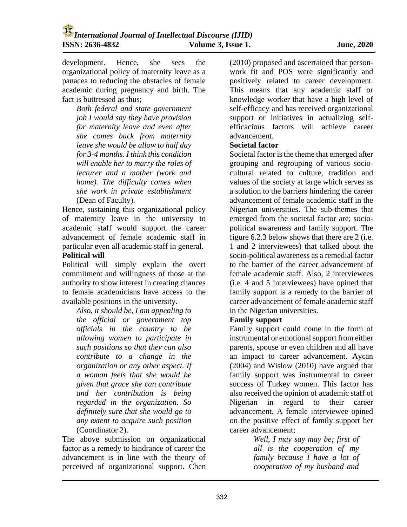development. Hence, she sees the organizational policy of maternity leave as a panacea to reducing the obstacles of female academic during pregnancy and birth. The fact is buttressed as thus;

*Both federal and state government job I would say they have provision for maternity leave and even after she comes back from maternity leave she would be allow to half day for 3-4 months. I think this condition will enable her to marry the roles of lecturer and a mother (work and home). The difficulty comes when she work in private establishment* (Dean of Faculty).

Hence, sustaining this organizational policy of maternity leave in the university to academic staff would support the career advancement of female academic staff in particular even all academic staff in general.

### **Political will**

Political will simply explain the overt commitment and willingness of those at the authority to show interest in creating chances to female academicians have access to the available positions in the university.

*Also, it should be, I am appealing to the official or government top officials in the country to be allowing women to participate in such positions so that they can also contribute to a change in the organization or any other aspect. If a woman feels that she would be given that grace she can contribute and her contribution is being regarded in the organization. So definitely sure that she would go to any extent to acquire such position* (Coordinator 2).

The above submission on organizational factor as a remedy to hindrance of career the advancement is in line with the theory of perceived of organizational support. Chen

(2010) proposed and ascertained that personwork fit and POS were significantly and positively related to career development. This means that any academic staff or knowledge worker that have a high level of self-efficacy and has received organizational support or initiatives in actualizing selfefficacious factors will achieve career advancement.

### **Societal factor**

Societal factor is the theme that emerged after grouping and regrouping of various sociocultural related to culture, tradition and values of the society at large which serves as a solution to the barriers hindering the career advancement of female academic staff in the Nigerian universities. The sub-themes that emerged from the societal factor are; sociopolitical awareness and family support. The figure 6.2.3 below shows that there are 2 (i.e. 1 and 2 interviewees) that talked about the socio-political awareness as a remedial factor to the barrier of the career advancement of female academic staff. Also, 2 interviewees (i.e. 4 and 5 interviewees) have opined that family support is a remedy to the barrier of career advancement of female academic staff in the Nigerian universities.

## **Family support**

Family support could come in the form of instrumental or emotional support from either parents, spouse or even children and all have an impact to career advancement. Aycan (2004) and Wislow (2010) have argued that family support was instrumental to career success of Turkey women. This factor has also received the opinion of academic staff of Nigerian in regard to their career advancement. A female interviewee opined on the positive effect of family support her career advancement;

> *Well, I may say may be; first of all is the cooperation of my family because I have a lot of cooperation of my husband and*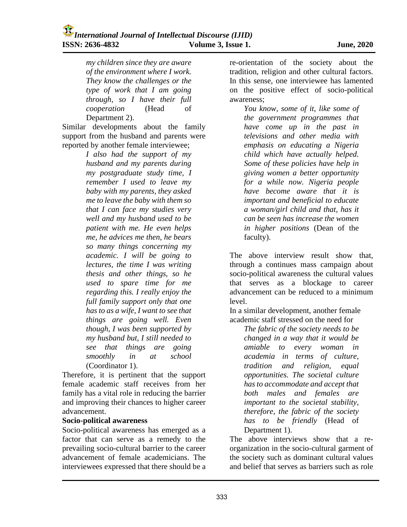*my children since they are aware of the environment where I work. They know the challenges or the type of work that I am going through, so I have their full cooperation* (Head of Department 2).

Similar developments about the family support from the husband and parents were reported by another female interviewee;

> *I also had the support of my husband and my parents during my postgraduate study time, I remember I used to leave my baby with my parents, they asked me to leave the baby with them so that I can face my studies very well and my husband used to be patient with me. He even helps me, he advices me then, he bears so many things concerning my academic. I will be going to lectures, the time I was writing thesis and other things, so he used to spare time for me regarding this. I really enjoy the full family support only that one has to as a wife, I want to see that things are going well. Even though, I was been supported by my husband but, I still needed to see that things are going smoothly in at school* (Coordinator 1).

Therefore, it is pertinent that the support female academic staff receives from her family has a vital role in reducing the barrier and improving their chances to higher career advancement.

### **Socio-political awareness**

Socio-political awareness has emerged as a factor that can serve as a remedy to the prevailing socio-cultural barrier to the career advancement of female academicians. The interviewees expressed that there should be a

re-orientation of the society about the tradition, religion and other cultural factors. In this sense, one interviewee has lamented on the positive effect of socio-political awareness;

*You know, some of it, like some of the government programmes that have come up in the past in televisions and other media with emphasis on educating a Nigeria child which have actually helped. Some of these policies have help in giving women a better opportunity for a while now. Nigeria people have become aware that it is important and beneficial to educate a woman/girl child and that, has it can be seen has increase the women in higher positions* (Dean of the faculty).

The above interview result show that, through a continues mass campaign about socio-political awareness the cultural values that serves as a blockage to career advancement can be reduced to a minimum level.

In a similar development, another female academic staff stressed on the need for

*The fabric of the society needs to be changed in a way that it would be amiable to every woman in academia in terms of culture, tradition and religion, equal opportunities. The societal culture has to accommodate and accept that both males and females are important to the societal stability, therefore, the fabric of the society has to be friendly* (Head of Department 1).

The above interviews show that a reorganization in the socio-cultural garment of the society such as dominant cultural values and belief that serves as barriers such as role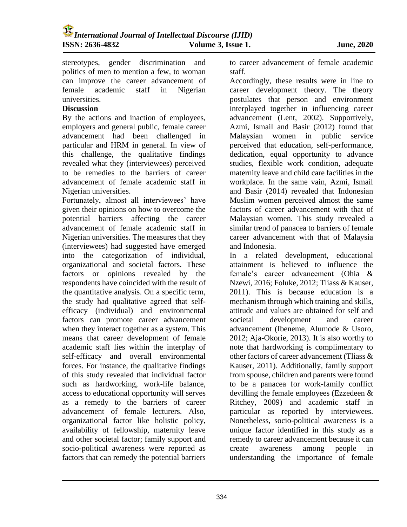stereotypes, gender discrimination and politics of men to mention a few, to woman can improve the career advancement of female academic staff in Nigerian universities.

#### **Discussion**

By the actions and inaction of employees, employers and general public, female career advancement had been challenged in particular and HRM in general. In view of this challenge, the qualitative findings revealed what they (interviewees) perceived to be remedies to the barriers of career advancement of female academic staff in Nigerian universities.

Fortunately, almost all interviewees' have given their opinions on how to overcome the potential barriers affecting the career advancement of female academic staff in Nigerian universities. The measures that they (interviewees) had suggested have emerged into the categorization of individual, organizational and societal factors. These factors or opinions revealed by the respondents have coincided with the result of the quantitative analysis. On a specific term, the study had qualitative agreed that selfefficacy (individual) and environmental factors can promote career advancement when they interact together as a system. This means that career development of female academic staff lies within the interplay of self-efficacy and overall environmental forces. For instance, the qualitative findings of this study revealed that individual factor such as hardworking, work-life balance, access to educational opportunity will serves as a remedy to the barriers of career advancement of female lecturers. Also, organizational factor like holistic policy, availability of fellowship, maternity leave and other societal factor; family support and socio-political awareness were reported as factors that can remedy the potential barriers to career advancement of female academic staff.

Accordingly, these results were in line to career development theory. The theory postulates that person and environment interplayed together in influencing career advancement (Lent, 2002). Supportively, Azmi, Ismail and Basir (2012) found that Malaysian women in public service perceived that education, self-performance, dedication, equal opportunity to advance studies, flexible work condition, adequate maternity leave and child care facilities in the workplace. In the same vain, Azmi, Ismail and Basir (2014) revealed that Indonesian Muslim women perceived almost the same factors of career advancement with that of Malaysian women. This study revealed a similar trend of panacea to barriers of female career advancement with that of Malaysia and Indonesia.

In a related development, educational attainment is believed to influence the female's career advancement (Ohia & Nzewi, 2016; Foluke, 2012; Tliass & Kauser, 2011). This is because education is a mechanism through which training and skills, attitude and values are obtained for self and societal development and career advancement (Ibeneme, Alumode & Usoro, 2012; Aja-Okorie, 2013). It is also worthy to note that hardworking is complimentary to other factors of career advancement (Tliass & Kauser, 2011). Additionally, family support from spouse, children and parents were found to be a panacea for work-family conflict devilling the female employees (Ezzedeen & Ritchey, 2009) and academic staff in particular as reported by interviewees. Nonetheless, socio-political awareness is a unique factor identified in this study as a remedy to career advancement because it can create awareness among people in understanding the importance of female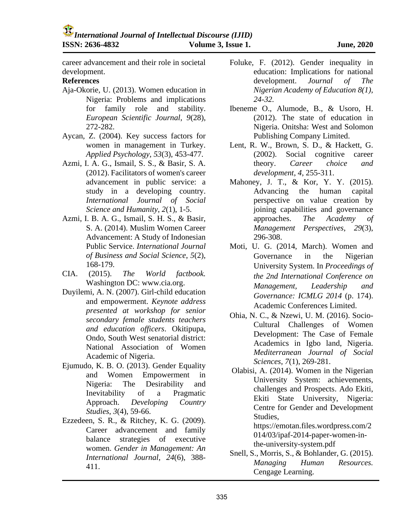career advancement and their role in societal development.

# **References**

- Aja-Okorie, U. (2013). Women education in Nigeria: Problems and implications for family role and stability. *European Scientific Journal*, *9*(28), 272-282.
- Aycan, Z. (2004). Key success factors for women in management in Turkey. *Applied Psychology*, *53*(3), 453-477.
- Azmi, I. A. G., Ismail, S. S., & Basir, S. A. (2012). Facilitators of women's career advancement in public service: a study in a developing country. *International Journal of Social Science and Humanity*, *2*(1), 1-5.
- Azmi, I. B. A. G., Ismail, S. H. S., & Basir, S. A. (2014). Muslim Women Career Advancement: A Study of Indonesian Public Service. *International Journal of Business and Social Science*, *5*(2), 168-179.
- CIA. (2015). *The World factbook.* Washington DC: www.cia.org.
- Duyilemi, A. N. (2007). Girl-child education and empowerment. *Keynote address presented at workshop for senior secondary female students teachers and education officers*. Okitipupa, Ondo, South West senatorial district: National Association of Women Academic of Nigeria.
- Ejumudo, K. B. O. (2013). Gender Equality and Women Empowerment in Nigeria: The Desirability and Inevitability of a Pragmatic Approach. *Developing Country Studies*, *3*(4), 59-66.
- Ezzedeen, S. R., & Ritchey, K. G. (2009). Career advancement and family balance strategies of executive women. *Gender in Management: An International Journal*, *24*(6), 388- 411.
- Foluke, F. (2012). Gender inequality in education: Implications for national development. *Journal of The Nigerian Academy of Education 8(1), 24-32.*
- Ibeneme O., Alumode, B., & Usoro, H. (2012). The state of education in Nigeria. Onitsha: West and Solomon Publishing Company Limited.
- Lent, R. W., Brown, S. D., & Hackett, G. (2002). Social cognitive career theory. *Career choice and development*, *4*, 255-311.
- Mahoney, J. T., & Kor, Y. Y. (2015). Advancing the human capital perspective on value creation by joining capabilities and governance approaches. *The Academy of Management Perspectives*, *29*(3), 296-308.
- Moti, U. G. (2014, March). Women and Governance in the Nigerian University System. In *Proceedings of the 2nd International Conference on Management, Leadership and Governance: ICMLG 2014* (p. 174). Academic Conferences Limited.
- Ohia, N. C., & Nzewi, U. M. (2016). Socio-Cultural Challenges of Women Development: The Case of Female Academics in Igbo land, Nigeria. *Mediterranean Journal of Social Sciences*, *7*(1), 269-281.
- Olabisi, A. (2014). Women in the Nigerian University System: achievements, challenges and Prospects. Ado Ekiti, Ekiti State University, Nigeria: Centre for Gender and Development Studies,

https://emotan.files.wordpress.com/2 014/03/ipaf-2014-paper-women-inthe-university-system.pdf

Snell, S., Morris, S., & Bohlander, G. (2015). *Managing Human Resources.* Cengage Learning.